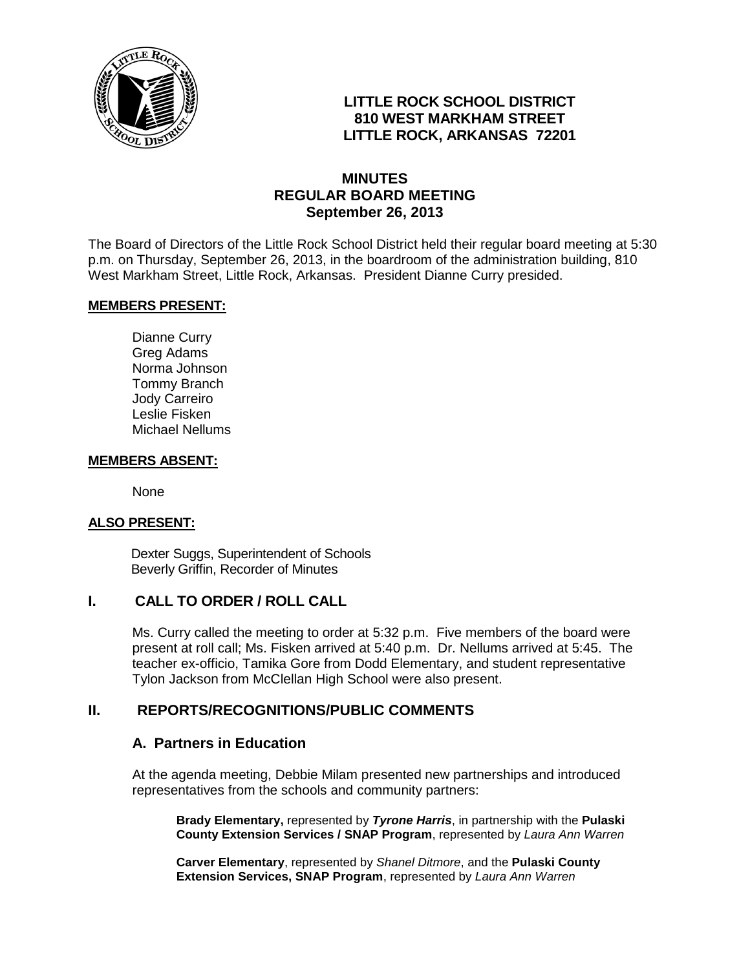

# **LITTLE ROCK SCHOOL DISTRICT 810 WEST MARKHAM STREET LITTLE ROCK, ARKANSAS 72201**

## **MINUTES REGULAR BOARD MEETING September 26, 2013**

The Board of Directors of the Little Rock School District held their regular board meeting at 5:30 p.m. on Thursday, September 26, 2013, in the boardroom of the administration building, 810 West Markham Street, Little Rock, Arkansas. President Dianne Curry presided.

#### **MEMBERS PRESENT:**

Dianne Curry Greg Adams Norma Johnson Tommy Branch Jody Carreiro Leslie Fisken Michael Nellums

#### **MEMBERS ABSENT:**

None

#### **ALSO PRESENT:**

 Dexter Suggs, Superintendent of Schools Beverly Griffin, Recorder of Minutes

#### **I. CALL TO ORDER / ROLL CALL**

Ms. Curry called the meeting to order at 5:32 p.m. Five members of the board were present at roll call; Ms. Fisken arrived at 5:40 p.m. Dr. Nellums arrived at 5:45. The teacher ex-officio, Tamika Gore from Dodd Elementary, and student representative Tylon Jackson from McClellan High School were also present.

## **II. REPORTS/RECOGNITIONS/PUBLIC COMMENTS**

#### **A. Partners in Education**

At the agenda meeting, Debbie Milam presented new partnerships and introduced representatives from the schools and community partners:

**Brady Elementary,** represented by *Tyrone Harris*, in partnership with the **Pulaski County Extension Services / SNAP Program**, represented by *Laura Ann Warren* 

**Carver Elementary**, represented by *Shanel Ditmore*, and the **Pulaski County Extension Services, SNAP Program**, represented by *Laura Ann Warren*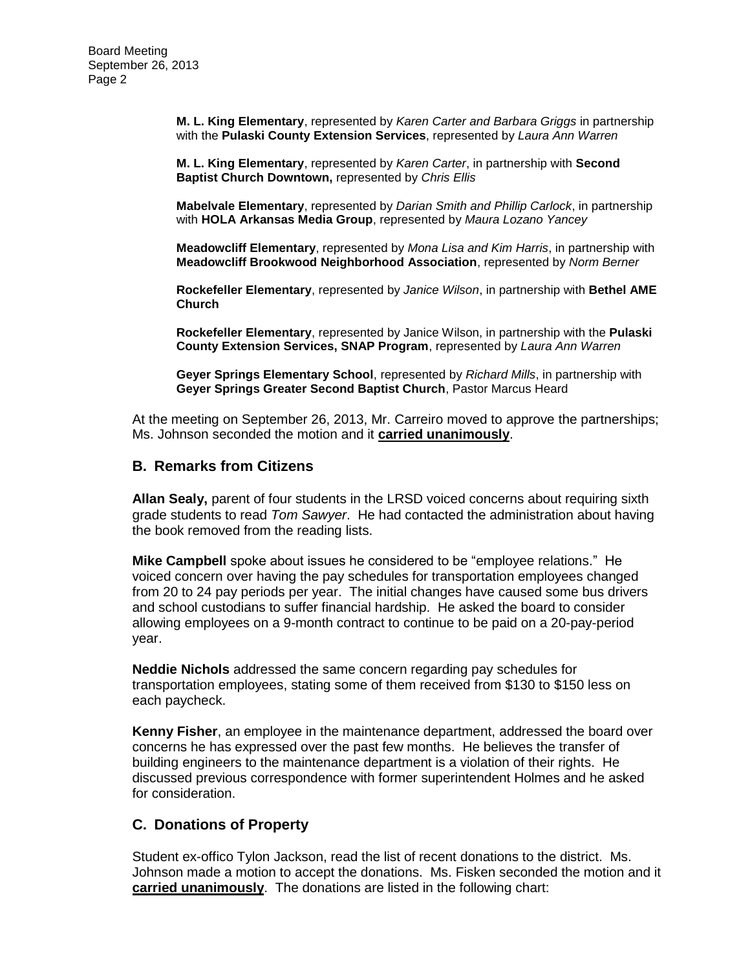**M. L. King Elementary**, represented by *Karen Carter and Barbara Griggs* in partnership with the **Pulaski County Extension Services**, represented by *Laura Ann Warren*

**M. L. King Elementary**, represented by *Karen Carter*, in partnership with **Second Baptist Church Downtown,** represented by *Chris Ellis*

**Mabelvale Elementary**, represented by *Darian Smith and Phillip Carlock*, in partnership with **HOLA Arkansas Media Group**, represented by *Maura Lozano Yancey*

**Meadowcliff Elementary**, represented by *Mona Lisa and Kim Harris*, in partnership with **Meadowcliff Brookwood Neighborhood Association**, represented by *Norm Berner*

**Rockefeller Elementary**, represented by *Janice Wilson*, in partnership with **Bethel AME Church**

**Rockefeller Elementary**, represented by Janice Wilson, in partnership with the **Pulaski County Extension Services, SNAP Program**, represented by *Laura Ann Warren*

**Geyer Springs Elementary School**, represented by *Richard Mills*, in partnership with **Geyer Springs Greater Second Baptist Church**, Pastor Marcus Heard

At the meeting on September 26, 2013, Mr. Carreiro moved to approve the partnerships; Ms. Johnson seconded the motion and it **carried unanimously**.

#### **B. Remarks from Citizens**

**Allan Sealy,** parent of four students in the LRSD voiced concerns about requiring sixth grade students to read *Tom Sawyer*. He had contacted the administration about having the book removed from the reading lists.

**Mike Campbell** spoke about issues he considered to be "employee relations." He voiced concern over having the pay schedules for transportation employees changed from 20 to 24 pay periods per year. The initial changes have caused some bus drivers and school custodians to suffer financial hardship. He asked the board to consider allowing employees on a 9-month contract to continue to be paid on a 20-pay-period year.

**Neddie Nichols** addressed the same concern regarding pay schedules for transportation employees, stating some of them received from \$130 to \$150 less on each paycheck.

**Kenny Fisher**, an employee in the maintenance department, addressed the board over concerns he has expressed over the past few months. He believes the transfer of building engineers to the maintenance department is a violation of their rights. He discussed previous correspondence with former superintendent Holmes and he asked for consideration.

#### **C. Donations of Property**

Student ex-offico Tylon Jackson, read the list of recent donations to the district. Ms. Johnson made a motion to accept the donations. Ms. Fisken seconded the motion and it **carried unanimously**. The donations are listed in the following chart: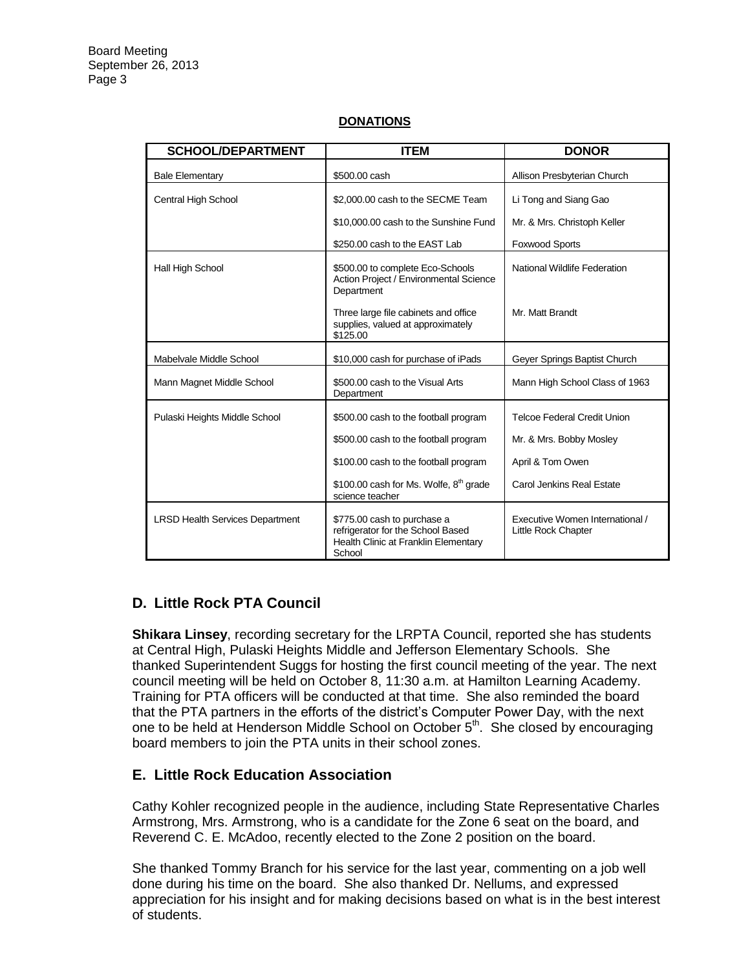| <b>SCHOOL/DEPARTMENT</b>               | <b>ITEM</b>                                                                                                        | <b>DONOR</b>                                           |
|----------------------------------------|--------------------------------------------------------------------------------------------------------------------|--------------------------------------------------------|
| <b>Bale Elementary</b>                 | \$500.00 cash                                                                                                      | Allison Presbyterian Church                            |
| Central High School                    | \$2,000,00 cash to the SECME Team                                                                                  | Li Tong and Siang Gao                                  |
|                                        | \$10,000.00 cash to the Sunshine Fund                                                                              | Mr. & Mrs. Christoph Keller                            |
|                                        | \$250.00 cash to the EAST Lab                                                                                      | Foxwood Sports                                         |
| Hall High School                       | \$500.00 to complete Eco-Schools<br>Action Project / Environmental Science<br>Department                           | National Wildlife Federation                           |
|                                        | Three large file cabinets and office<br>supplies, valued at approximately<br>\$125.00                              | Mr. Matt Brandt                                        |
| Mabelvale Middle School                | \$10,000 cash for purchase of iPads                                                                                | Geyer Springs Baptist Church                           |
| Mann Magnet Middle School              | \$500.00 cash to the Visual Arts<br>Department                                                                     | Mann High School Class of 1963                         |
| Pulaski Heights Middle School          | \$500.00 cash to the football program                                                                              | <b>Telcoe Federal Credit Union</b>                     |
|                                        | \$500.00 cash to the football program                                                                              | Mr. & Mrs. Bobby Mosley                                |
|                                        | \$100.00 cash to the football program                                                                              | April & Tom Owen                                       |
|                                        | \$100.00 cash for Ms. Wolfe, 8 <sup>th</sup> grade<br>science teacher                                              | Carol Jenkins Real Estate                              |
| <b>LRSD Health Services Department</b> | \$775.00 cash to purchase a<br>refrigerator for the School Based<br>Health Clinic at Franklin Elementary<br>School | Executive Women International /<br>Little Rock Chapter |

#### **DONATIONS**

# **D. Little Rock PTA Council**

**Shikara Linsey**, recording secretary for the LRPTA Council, reported she has students at Central High, Pulaski Heights Middle and Jefferson Elementary Schools. She thanked Superintendent Suggs for hosting the first council meeting of the year. The next council meeting will be held on October 8, 11:30 a.m. at Hamilton Learning Academy. Training for PTA officers will be conducted at that time. She also reminded the board that the PTA partners in the efforts of the district's Computer Power Day, with the next one to be held at Henderson Middle School on October  $5<sup>th</sup>$ . She closed by encouraging board members to join the PTA units in their school zones.

## **E. Little Rock Education Association**

Cathy Kohler recognized people in the audience, including State Representative Charles Armstrong, Mrs. Armstrong, who is a candidate for the Zone 6 seat on the board, and Reverend C. E. McAdoo, recently elected to the Zone 2 position on the board.

She thanked Tommy Branch for his service for the last year, commenting on a job well done during his time on the board. She also thanked Dr. Nellums, and expressed appreciation for his insight and for making decisions based on what is in the best interest of students.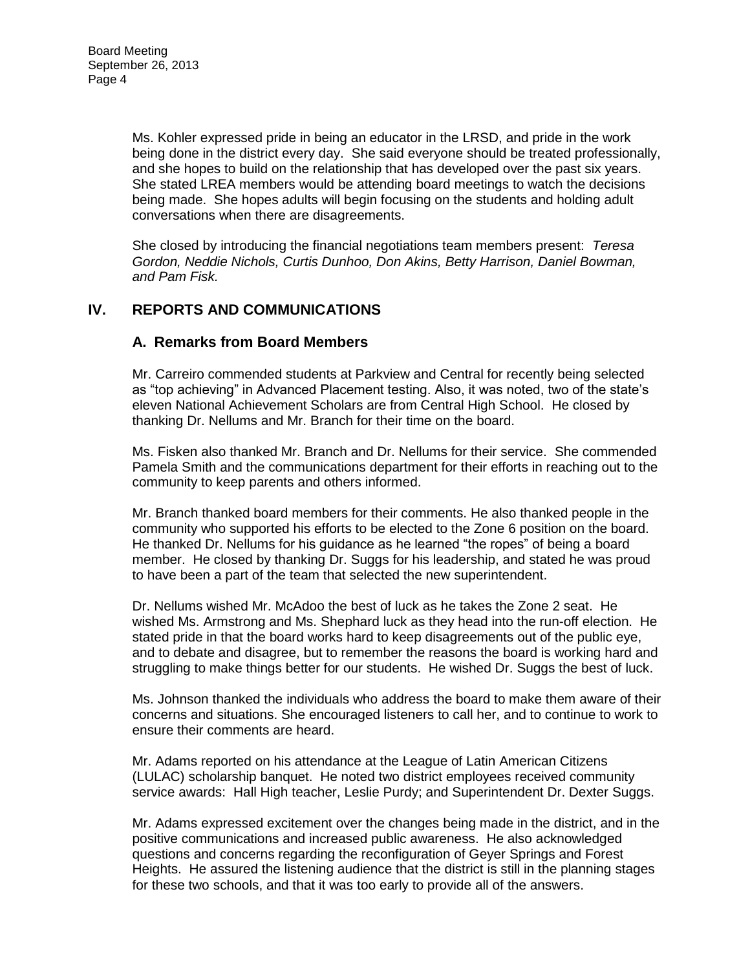Ms. Kohler expressed pride in being an educator in the LRSD, and pride in the work being done in the district every day. She said everyone should be treated professionally, and she hopes to build on the relationship that has developed over the past six years. She stated LREA members would be attending board meetings to watch the decisions being made. She hopes adults will begin focusing on the students and holding adult conversations when there are disagreements.

She closed by introducing the financial negotiations team members present: *Teresa Gordon, Neddie Nichols, Curtis Dunhoo, Don Akins, Betty Harrison, Daniel Bowman, and Pam Fisk.* 

## **IV. REPORTS AND COMMUNICATIONS**

#### **A. Remarks from Board Members**

Mr. Carreiro commended students at Parkview and Central for recently being selected as "top achieving" in Advanced Placement testing. Also, it was noted, two of the state's eleven National Achievement Scholars are from Central High School. He closed by thanking Dr. Nellums and Mr. Branch for their time on the board.

Ms. Fisken also thanked Mr. Branch and Dr. Nellums for their service. She commended Pamela Smith and the communications department for their efforts in reaching out to the community to keep parents and others informed.

Mr. Branch thanked board members for their comments. He also thanked people in the community who supported his efforts to be elected to the Zone 6 position on the board. He thanked Dr. Nellums for his guidance as he learned "the ropes" of being a board member. He closed by thanking Dr. Suggs for his leadership, and stated he was proud to have been a part of the team that selected the new superintendent.

Dr. Nellums wished Mr. McAdoo the best of luck as he takes the Zone 2 seat. He wished Ms. Armstrong and Ms. Shephard luck as they head into the run-off election. He stated pride in that the board works hard to keep disagreements out of the public eye, and to debate and disagree, but to remember the reasons the board is working hard and struggling to make things better for our students. He wished Dr. Suggs the best of luck.

Ms. Johnson thanked the individuals who address the board to make them aware of their concerns and situations. She encouraged listeners to call her, and to continue to work to ensure their comments are heard.

Mr. Adams reported on his attendance at the League of Latin American Citizens (LULAC) scholarship banquet. He noted two district employees received community service awards: Hall High teacher, Leslie Purdy; and Superintendent Dr. Dexter Suggs.

Mr. Adams expressed excitement over the changes being made in the district, and in the positive communications and increased public awareness. He also acknowledged questions and concerns regarding the reconfiguration of Geyer Springs and Forest Heights. He assured the listening audience that the district is still in the planning stages for these two schools, and that it was too early to provide all of the answers.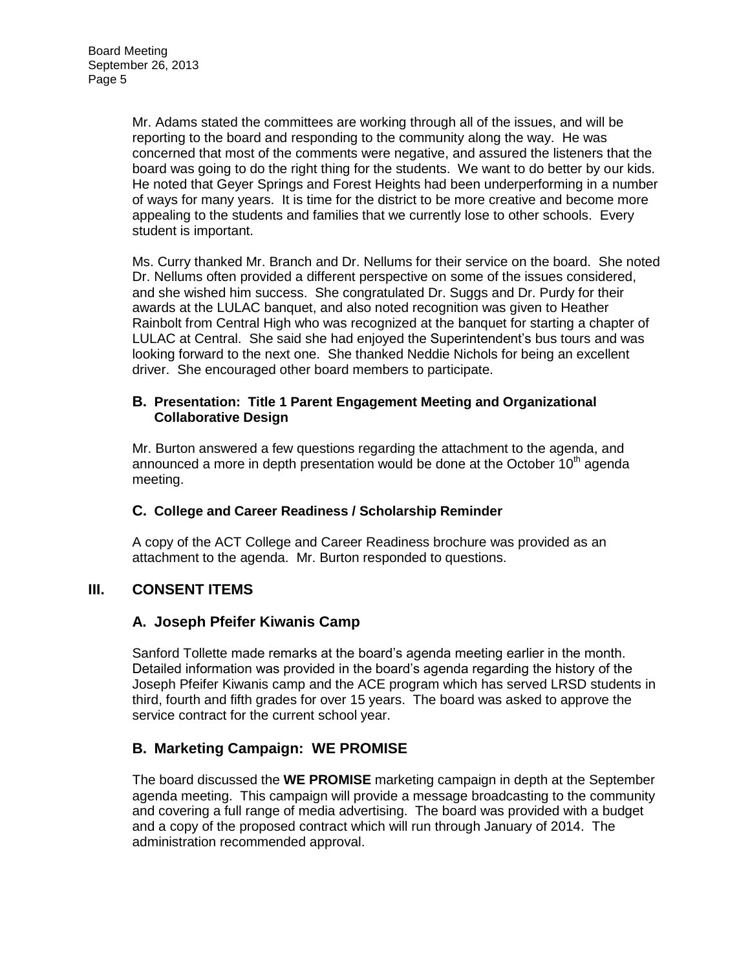Mr. Adams stated the committees are working through all of the issues, and will be reporting to the board and responding to the community along the way. He was concerned that most of the comments were negative, and assured the listeners that the board was going to do the right thing for the students. We want to do better by our kids. He noted that Geyer Springs and Forest Heights had been underperforming in a number of ways for many years. It is time for the district to be more creative and become more appealing to the students and families that we currently lose to other schools. Every student is important.

Ms. Curry thanked Mr. Branch and Dr. Nellums for their service on the board. She noted Dr. Nellums often provided a different perspective on some of the issues considered, and she wished him success. She congratulated Dr. Suggs and Dr. Purdy for their awards at the LULAC banquet, and also noted recognition was given to Heather Rainbolt from Central High who was recognized at the banquet for starting a chapter of LULAC at Central. She said she had enjoyed the Superintendent's bus tours and was looking forward to the next one. She thanked Neddie Nichols for being an excellent driver. She encouraged other board members to participate.

#### **B. Presentation: Title 1 Parent Engagement Meeting and Organizational Collaborative Design**

Mr. Burton answered a few questions regarding the attachment to the agenda, and announced a more in depth presentation would be done at the October  $10<sup>th</sup>$  agenda meeting.

## **C. College and Career Readiness / Scholarship Reminder**

A copy of the ACT College and Career Readiness brochure was provided as an attachment to the agenda. Mr. Burton responded to questions.

# **III. CONSENT ITEMS**

# **A. Joseph Pfeifer Kiwanis Camp**

Sanford Tollette made remarks at the board's agenda meeting earlier in the month. Detailed information was provided in the board's agenda regarding the history of the Joseph Pfeifer Kiwanis camp and the ACE program which has served LRSD students in third, fourth and fifth grades for over 15 years. The board was asked to approve the service contract for the current school year.

# **B. Marketing Campaign: WE PROMISE**

The board discussed the **WE PROMISE** marketing campaign in depth at the September agenda meeting. This campaign will provide a message broadcasting to the community and covering a full range of media advertising. The board was provided with a budget and a copy of the proposed contract which will run through January of 2014. The administration recommended approval.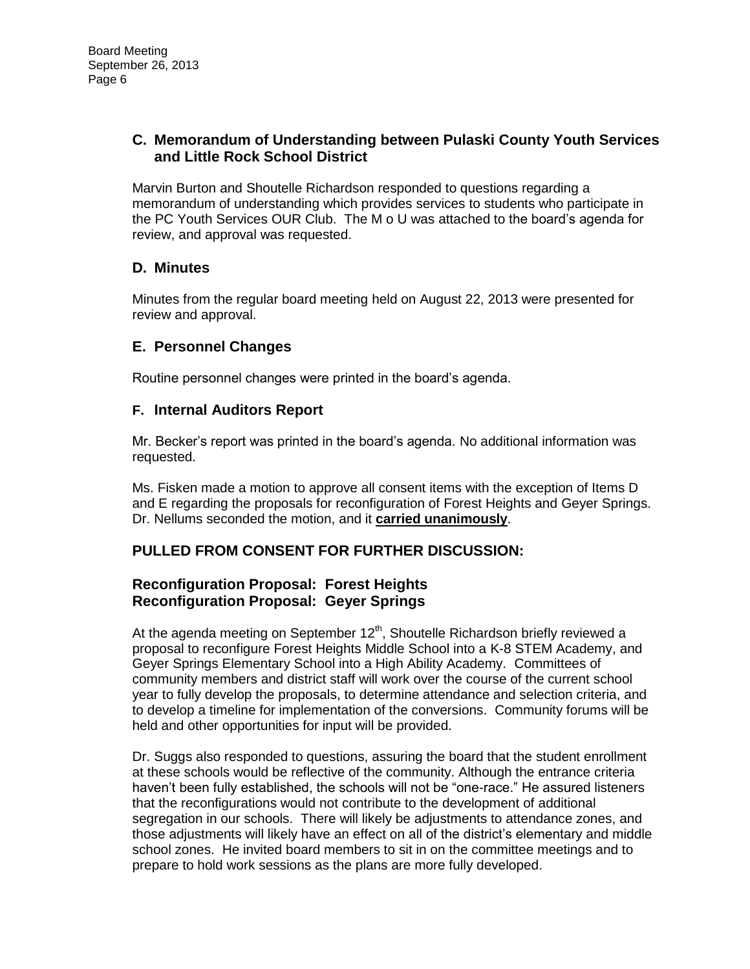## **C. Memorandum of Understanding between Pulaski County Youth Services and Little Rock School District**

Marvin Burton and Shoutelle Richardson responded to questions regarding a memorandum of understanding which provides services to students who participate in the PC Youth Services OUR Club. The M o U was attached to the board's agenda for review, and approval was requested.

# **D. Minutes**

Minutes from the regular board meeting held on August 22, 2013 were presented for review and approval.

# **E. Personnel Changes**

Routine personnel changes were printed in the board's agenda.

## **F. Internal Auditors Report**

Mr. Becker's report was printed in the board's agenda. No additional information was requested.

Ms. Fisken made a motion to approve all consent items with the exception of Items D and E regarding the proposals for reconfiguration of Forest Heights and Geyer Springs. Dr. Nellums seconded the motion, and it **carried unanimously**.

## **PULLED FROM CONSENT FOR FURTHER DISCUSSION:**

## **Reconfiguration Proposal: Forest Heights Reconfiguration Proposal: Geyer Springs**

At the agenda meeting on September 12<sup>th</sup>, Shoutelle Richardson briefly reviewed a proposal to reconfigure Forest Heights Middle School into a K-8 STEM Academy, and Geyer Springs Elementary School into a High Ability Academy. Committees of community members and district staff will work over the course of the current school year to fully develop the proposals, to determine attendance and selection criteria, and to develop a timeline for implementation of the conversions. Community forums will be held and other opportunities for input will be provided.

Dr. Suggs also responded to questions, assuring the board that the student enrollment at these schools would be reflective of the community. Although the entrance criteria haven't been fully established, the schools will not be "one-race." He assured listeners that the reconfigurations would not contribute to the development of additional segregation in our schools. There will likely be adjustments to attendance zones, and those adjustments will likely have an effect on all of the district's elementary and middle school zones. He invited board members to sit in on the committee meetings and to prepare to hold work sessions as the plans are more fully developed.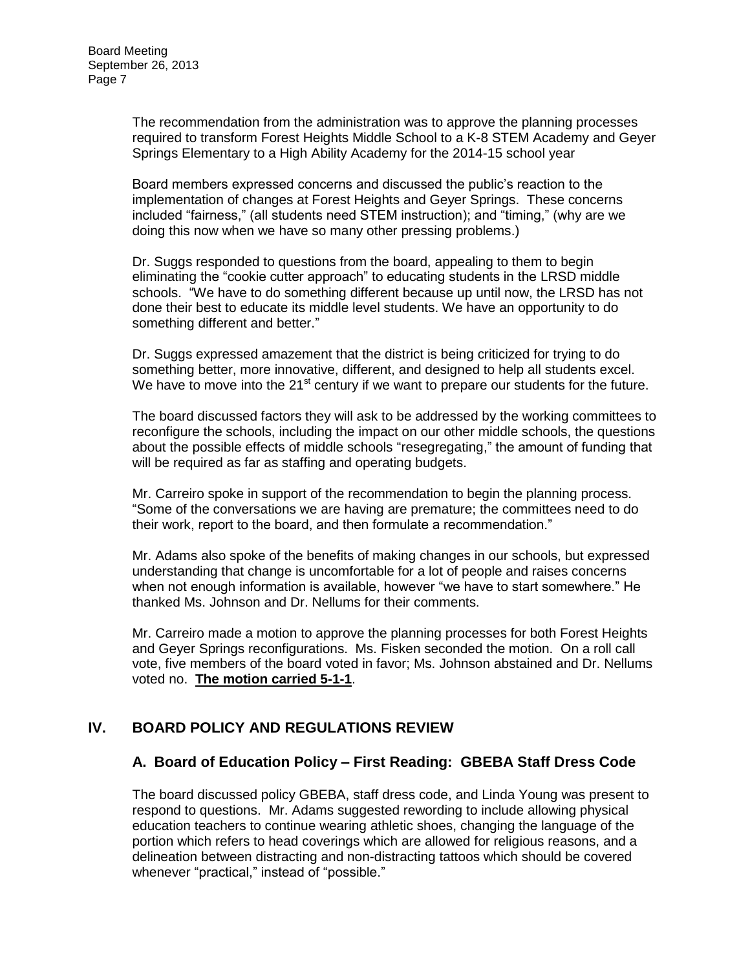The recommendation from the administration was to approve the planning processes required to transform Forest Heights Middle School to a K-8 STEM Academy and Geyer Springs Elementary to a High Ability Academy for the 2014-15 school year

Board members expressed concerns and discussed the public's reaction to the implementation of changes at Forest Heights and Geyer Springs. These concerns included "fairness," (all students need STEM instruction); and "timing," (why are we doing this now when we have so many other pressing problems.)

Dr. Suggs responded to questions from the board, appealing to them to begin eliminating the "cookie cutter approach" to educating students in the LRSD middle schools. "We have to do something different because up until now, the LRSD has not done their best to educate its middle level students. We have an opportunity to do something different and better."

Dr. Suggs expressed amazement that the district is being criticized for trying to do something better, more innovative, different, and designed to help all students excel. We have to move into the  $21<sup>st</sup>$  century if we want to prepare our students for the future.

The board discussed factors they will ask to be addressed by the working committees to reconfigure the schools, including the impact on our other middle schools, the questions about the possible effects of middle schools "resegregating," the amount of funding that will be required as far as staffing and operating budgets.

Mr. Carreiro spoke in support of the recommendation to begin the planning process. "Some of the conversations we are having are premature; the committees need to do their work, report to the board, and then formulate a recommendation."

Mr. Adams also spoke of the benefits of making changes in our schools, but expressed understanding that change is uncomfortable for a lot of people and raises concerns when not enough information is available, however "we have to start somewhere." He thanked Ms. Johnson and Dr. Nellums for their comments.

Mr. Carreiro made a motion to approve the planning processes for both Forest Heights and Geyer Springs reconfigurations. Ms. Fisken seconded the motion. On a roll call vote, five members of the board voted in favor; Ms. Johnson abstained and Dr. Nellums voted no. **The motion carried 5-1-1**.

## **IV. BOARD POLICY AND REGULATIONS REVIEW**

## **A. Board of Education Policy – First Reading: GBEBA Staff Dress Code**

The board discussed policy GBEBA, staff dress code, and Linda Young was present to respond to questions. Mr. Adams suggested rewording to include allowing physical education teachers to continue wearing athletic shoes, changing the language of the portion which refers to head coverings which are allowed for religious reasons, and a delineation between distracting and non-distracting tattoos which should be covered whenever "practical," instead of "possible."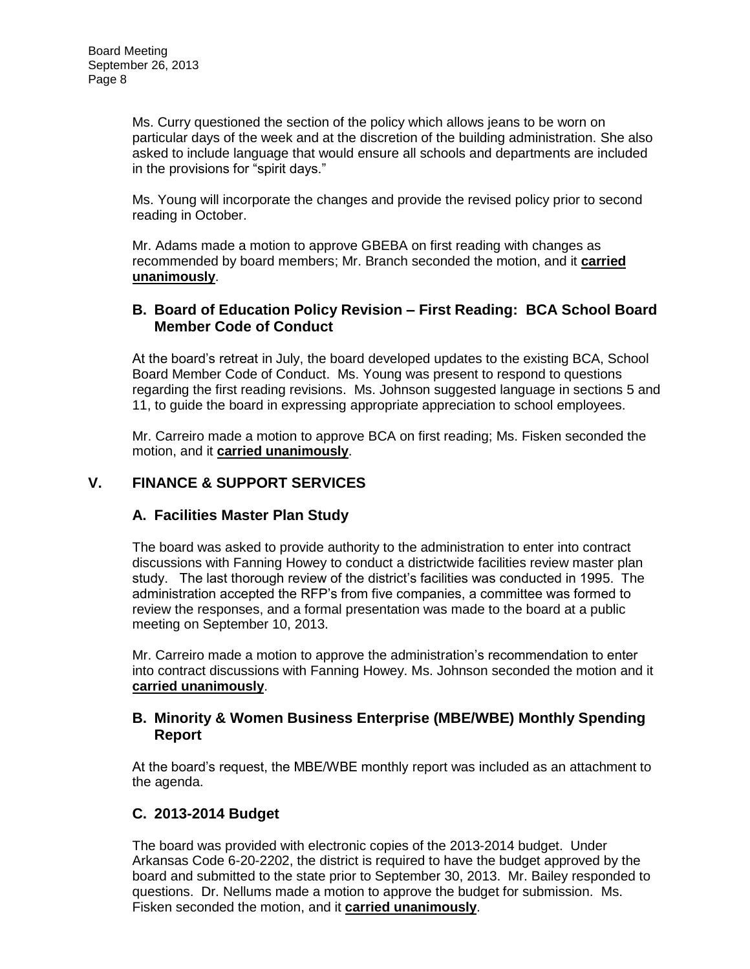Ms. Curry questioned the section of the policy which allows jeans to be worn on particular days of the week and at the discretion of the building administration. She also asked to include language that would ensure all schools and departments are included in the provisions for "spirit days."

Ms. Young will incorporate the changes and provide the revised policy prior to second reading in October.

Mr. Adams made a motion to approve GBEBA on first reading with changes as recommended by board members; Mr. Branch seconded the motion, and it **carried unanimously**.

## **B. Board of Education Policy Revision – First Reading: BCA School Board Member Code of Conduct**

At the board's retreat in July, the board developed updates to the existing BCA, School Board Member Code of Conduct. Ms. Young was present to respond to questions regarding the first reading revisions. Ms. Johnson suggested language in sections 5 and 11, to guide the board in expressing appropriate appreciation to school employees.

Mr. Carreiro made a motion to approve BCA on first reading; Ms. Fisken seconded the motion, and it **carried unanimously**.

## **V. FINANCE & SUPPORT SERVICES**

## **A. Facilities Master Plan Study**

The board was asked to provide authority to the administration to enter into contract discussions with Fanning Howey to conduct a districtwide facilities review master plan study. The last thorough review of the district's facilities was conducted in 1995. The administration accepted the RFP's from five companies, a committee was formed to review the responses, and a formal presentation was made to the board at a public meeting on September 10, 2013.

Mr. Carreiro made a motion to approve the administration's recommendation to enter into contract discussions with Fanning Howey. Ms. Johnson seconded the motion and it **carried unanimously**.

#### **B. Minority & Women Business Enterprise (MBE/WBE) Monthly Spending Report**

At the board's request, the MBE/WBE monthly report was included as an attachment to the agenda.

## **C. 2013-2014 Budget**

The board was provided with electronic copies of the 2013-2014 budget. Under Arkansas Code 6-20-2202, the district is required to have the budget approved by the board and submitted to the state prior to September 30, 2013. Mr. Bailey responded to questions. Dr. Nellums made a motion to approve the budget for submission. Ms. Fisken seconded the motion, and it **carried unanimously**.